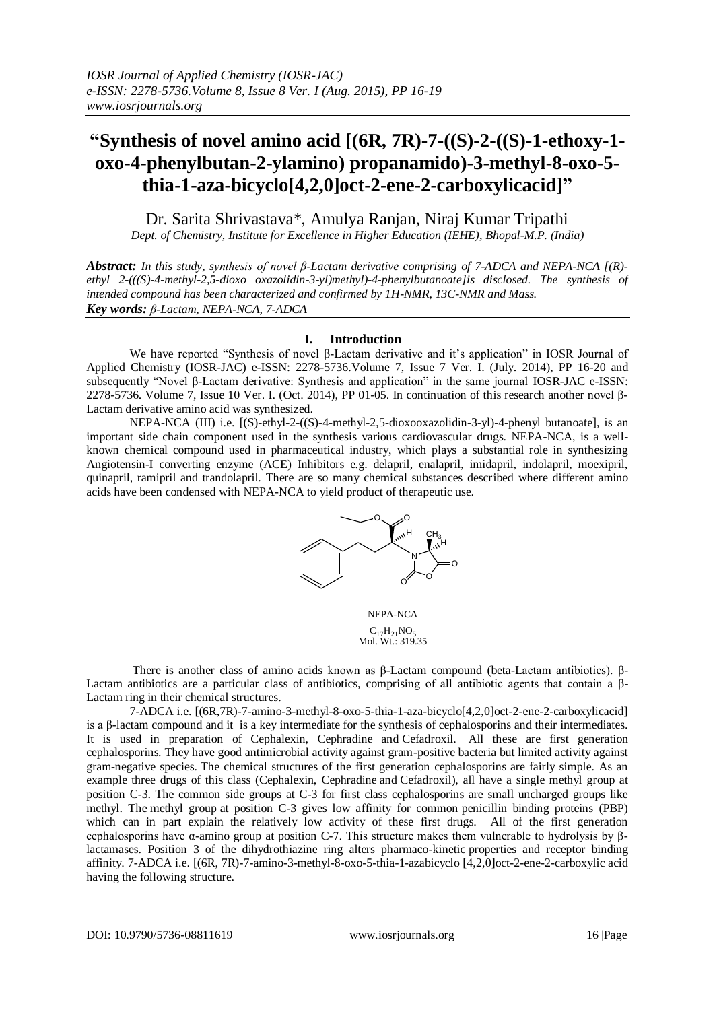# **"Synthesis of novel amino acid [(6R, 7R)-7-((S)-2-((S)-1-ethoxy-1 oxo-4-phenylbutan-2-ylamino) propanamido)-3-methyl-8-oxo-5 thia-1-aza-bicyclo[4,2,0]oct-2-ene-2-carboxylicacid]"**

Dr. Sarita Shrivastava\*, Amulya Ranjan, Niraj Kumar Tripathi *Dept. of Chemistry, Institute for Excellence in Higher Education (IEHE), Bhopal-M.P. (India)*

*Abstract: In this study, synthesis of novel β-Lactam derivative comprising of 7-ADCA and NEPA-NCA [(R) ethyl 2-(((S)-4-methyl-2,5-dioxo oxazolidin-3-yl)methyl)-4-phenylbutanoate]is disclosed. The synthesis of intended compound has been characterized and confirmed by 1H-NMR, 13C-NMR and Mass. Key words: β-Lactam, NEPA-NCA, 7-ADCA*

### **I. Introduction**

We have reported "Synthesis of novel β-Lactam derivative and it's application" in IOSR Journal of Applied Chemistry (IOSR-JAC) e-ISSN: 2278-5736.Volume 7, Issue 7 Ver. I. (July. 2014), PP 16-20 and subsequently "Novel β-Lactam derivative: Synthesis and application" in the same journal IOSR-JAC e-ISSN: 2278-5736. Volume 7, Issue 10 Ver. I. (Oct. 2014), PP 01-05. In continuation of this research another novel β-Lactam derivative amino acid was synthesized.

NEPA-NCA (III) i.e. [(S)-ethyl-2-((S)-4-methyl-2,5-dioxooxazolidin-3-yl)-4-phenyl butanoate], is an important side chain component used in the synthesis various cardiovascular drugs. NEPA-NCA, is a wellknown chemical compound used in pharmaceutical industry, which plays a substantial role in synthesizing Angiotensin-I converting enzyme (ACE) Inhibitors e.g. delapril, enalapril, imidapril, indolapril, moexipril, quinapril, ramipril and trandolapril. There are so many chemical substances described where different amino acids have been condensed with NEPA-NCA to yield product of therapeutic use.



NEPA-NCA  $C_{17}H_{21}NO_5$ <br>Mol. Wt.: 319.35

There is another class of amino acids known as β-Lactam compound (beta-Lactam antibiotics). β-Lactam antibiotics are a particular class of antibiotics, comprising of all antibiotic agents that contain a β-Lactam ring in their chemical structures.

7-ADCA i.e. [(6R,7R)-7-amino-3-methyl-8-oxo-5-thia-1-aza-bicyclo[4,2,0]oct-2-ene-2-carboxylicacid] is a β-lactam compound and it is a key intermediate for the synthesis of cephalosporins and their intermediates. It is used in preparation of Cephalexin, Cephradine and [Cefadroxil.](http://en.wikipedia.org/wiki/Cefadroxil) All these are first generation cephalosporins. They have good antimicrobial activity against gram-positive bacteria but limited activity against gram-negative species. The chemical structures of the first generation cephalosporins are fairly simple. As an example three drugs of this class (Cephalexin, [Cephradine](http://en.wikipedia.org/wiki/Cephradine) and [Cefadroxil\)](http://en.wikipedia.org/wiki/Cefadroxil), all have a single methyl group at position C-3. The common side groups at C-3 for first class cephalosporins are small uncharged groups like methyl. The [methyl group](http://en.wikipedia.org/wiki/Methyl_group) at position C-3 gives low affinity for common [penicillin binding proteins](http://en.wikipedia.org/wiki/Penicillin_binding_proteins) (PBP) which can in part explain the relatively low activity of these first drugs. All of the first generation cephalosporins have α-amino group at position C-7. This structure makes them vulnerable to hydrolysis by βlactamases. Position 3 of the dihydrothiazine ring alters pharmaco-kinetic properties and receptor binding affinity. 7-ADCA i.e. [(6R, 7R)-7-amino-3-methyl-8-oxo-5-thia-1-azabicyclo [4,2,0]oct-2-ene-2-carboxylic acid having the following structure.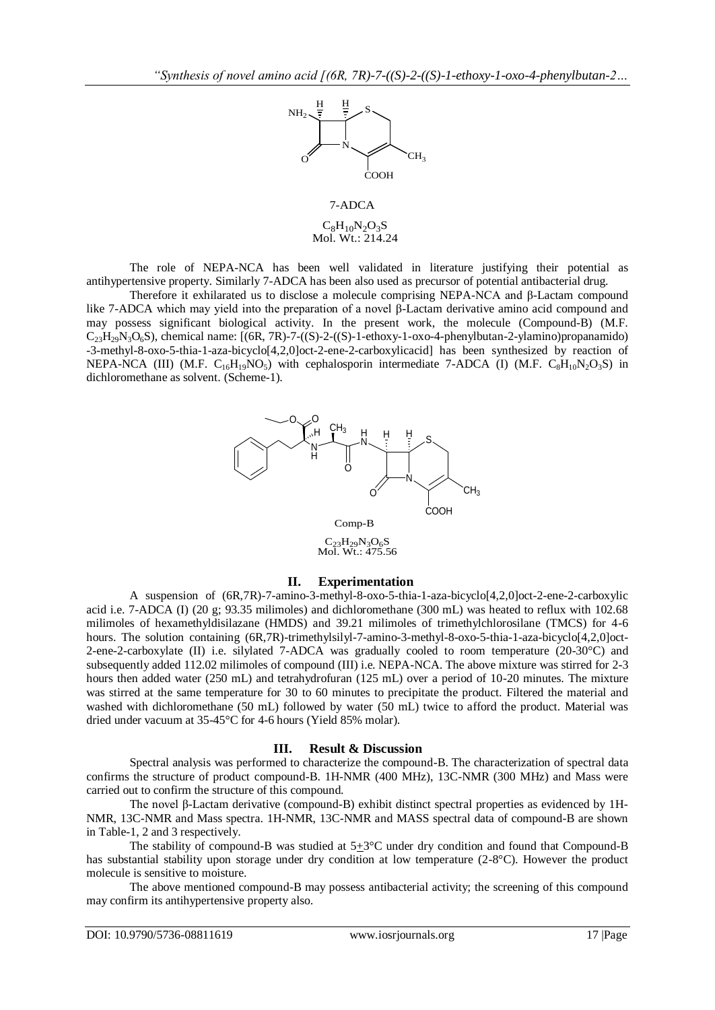

# $C_8H_{10}N_2O_3S$ Mol. Wt.: 214.24

The role of NEPA-NCA has been well validated in literature justifying their potential as antihypertensive property. Similarly 7-ADCA has been also used as precursor of potential antibacterial drug.

Therefore it exhilarated us to disclose a molecule comprising NEPA-NCA and β-Lactam compound like 7-ADCA which may yield into the preparation of a novel β-Lactam derivative amino acid compound and may possess significant biological activity. In the present work, the molecule (Compound-B) (M.F.  $C_{23}H_{29}N_3O_6S$ ), chemical name:  $[(6R, 7R)-7-((S)-2-(S)-1-ethox-1-oxo-4-phenvlbutan-2-vlamino)propanamido)$ -3-methyl-8-oxo-5-thia-1-aza-bicyclo[4,2,0]oct-2-ene-2-carboxylicacid] has been synthesized by reaction of NEPA-NCA (III) (M.F.  $C_{16}H_{19}NO_5$ ) with cephalosporin intermediate 7-ADCA (I) (M.F.  $C_8H_{10}N_2O_3S$ ) in dichloromethane as solvent. (Scheme-1).



 $C_{23}H_{29}N_{3}O_{6}S$ Mol. Wt.: 475.56

#### **II. Experimentation**

A suspension of (6R,7R)-7-amino-3-methyl-8-oxo-5-thia-1-aza-bicyclo[4,2,0]oct-2-ene-2-carboxylic acid i.e. 7-ADCA (I) (20 g; 93.35 milimoles) and dichloromethane (300 mL) was heated to reflux with 102.68 milimoles of hexamethyldisilazane (HMDS) and 39.21 milimoles of trimethylchlorosilane (TMCS) for 4-6 hours. The solution containing (6R,7R)-trimethylsilyl-7-amino-3-methyl-8-oxo-5-thia-1-aza-bicyclo[4,2,0]oct-2-ene-2-carboxylate (II) i.e. silylated 7-ADCA was gradually cooled to room temperature (20-30°C) and subsequently added 112.02 milimoles of compound (III) i.e. NEPA-NCA. The above mixture was stirred for 2-3 hours then added water (250 mL) and tetrahydrofuran (125 mL) over a period of 10-20 minutes. The mixture was stirred at the same temperature for 30 to 60 minutes to precipitate the product. Filtered the material and washed with dichloromethane (50 mL) followed by water (50 mL) twice to afford the product. Material was dried under vacuum at 35-45°C for 4-6 hours (Yield 85% molar).

#### **III. Result & Discussion**

Spectral analysis was performed to characterize the compound-B. The characterization of spectral data confirms the structure of product compound-B. 1H-NMR (400 MHz), 13C-NMR (300 MHz) and Mass were carried out to confirm the structure of this compound.

The novel β-Lactam derivative (compound-B) exhibit distinct spectral properties as evidenced by 1H-NMR, 13C-NMR and Mass spectra. 1H-NMR, 13C-NMR and MASS spectral data of compound-B are shown in Table-1, 2 and 3 respectively.

The stability of compound-B was studied at  $5\pm3$ °C under dry condition and found that Compound-B has substantial stability upon storage under dry condition at low temperature (2-8°C). However the product molecule is sensitive to moisture.

The above mentioned compound-B may possess antibacterial activity; the screening of this compound may confirm its antihypertensive property also.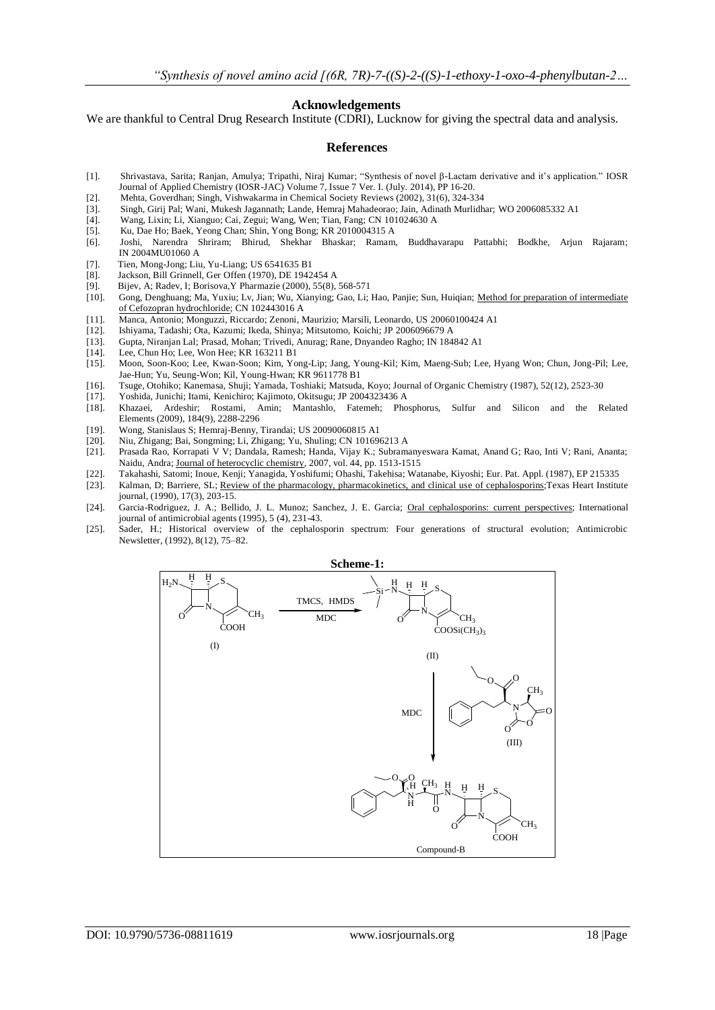#### **Acknowledgements**

We are thankful to Central Drug Research Institute (CDRI), Lucknow for giving the spectral data and analysis.

#### **References**

- [1]. Shrivastava, Sarita; Ranjan, Amulya; Tripathi, Niraj Kumar; "Synthesis of novel β-Lactam derivative and it's application." IOSR Journal of Applied Chemistry (IOSR-JAC) Volume 7, Issue 7 Ver. I. (July. 2014), PP 16-20.
- [2]. Mehta, Goverdhan; Singh, Vishwakarma in Chemical Society Reviews (2002), 31(6), 324-334
- [3]. Singh, Girij Pal; Wani, Mukesh Jagannath; Lande, Hemraj Mahadeorao; Jain, Adinath Murlidhar; WO 2006085332 A1
- [4]. Wang, Lixin; Li, Xianguo; Cai, Zegui; Wang, Wen; Tian, Fang; CN 101024630 A
- [5]. Ku, Dae Ho; Baek, Yeong Chan; Shin, Yong Bong; KR 2010004315 A
- [6]. Joshi, Narendra Shriram; Bhirud, Shekhar Bhaskar; Ramam, Buddhavarapu Pattabhi; Bodkhe, Arjun Rajaram; IN 2004MU01060 A
- [7]. Tien, Mong-Jong; Liu, Yu-Liang; US 6541635 B1
- [8]. Jackson, Bill Grinnell, Ger Offen (1970), DE 1942454 A<br>[9]. Bijev, A; Radev, I; Borisova, Y Pharmazie (2000), 55(8).
- [9]. Bijev, A; Radev, I; Borisova, Y Pharmazie (2000), 55(8), 568-571<br>[10]. Gong, Denghuang; Ma, Yuxiu; Lv, Jian; Wu, Xianying; Gao, Li;
- [10]. Gong, Denghuang; Ma, Yuxiu; Lv, Jian; Wu, Xianying; Gao, Li; Hao, Panjie; Sun, Huiqian; Method for [preparation of intermediate](https://scifinder.cas.org/scifinder/references/answers/9E024B0AX86F350ACX4E7321422BE3B90DFC:9E04C893X86F350ACX52D9ED3D3F9897608E/1.html?nav=eNpb85aBtYSBMbGEQcXS1cDE2cLSOMLCzM3Y1MDROcLUyMXS1cXYxdjN0sLS3MzAwhWoNKm4iEEwK7EsUS8nMS9dzzOvJDU9tUjo0YIl3xvbLZgYGD0ZWMsSc0pTK4oYBBDq_Epzk1KL2tZMleWe8qCbiYGhooCBAWx3RgmDtGNoiId_ULynX5irXwiQ4ecf7x7kHxrg6edewsCZmVuQX1QCNKG4kKGOgRmojwEomp1bEJRaiCIKAFZTO3c&key=caplus_2012:684185&title=TWV0aG9kIGZvciBwcmVwYXJhdGlvbiBvZiBpbnRlcm1lZGlhdGUgb2YgQ2Vmb3pvcHJhbiBoeWRyb2NobG9yaWRl&launchSrc=reflist&pageNum=1&sortKey=ACCESSION_NUMBER&sortOrder=DESCENDING)  [of Cefozopran hydrochloride;](https://scifinder.cas.org/scifinder/references/answers/9E024B0AX86F350ACX4E7321422BE3B90DFC:9E04C893X86F350ACX52D9ED3D3F9897608E/1.html?nav=eNpb85aBtYSBMbGEQcXS1cDE2cLSOMLCzM3Y1MDROcLUyMXS1cXYxdjN0sLS3MzAwhWoNKm4iEEwK7EsUS8nMS9dzzOvJDU9tUjo0YIl3xvbLZgYGD0ZWMsSc0pTK4oYBBDq_Epzk1KL2tZMleWe8qCbiYGhooCBAWx3RgmDtGNoiId_ULynX5irXwiQ4ecf7x7kHxrg6edewsCZmVuQX1QCNKG4kKGOgRmojwEomp1bEJRaiCIKAFZTO3c&key=caplus_2012:684185&title=TWV0aG9kIGZvciBwcmVwYXJhdGlvbiBvZiBpbnRlcm1lZGlhdGUgb2YgQ2Vmb3pvcHJhbiBoeWRyb2NobG9yaWRl&launchSrc=reflist&pageNum=1&sortKey=ACCESSION_NUMBER&sortOrder=DESCENDING) CN 102443016 A
- [11]. Manca, Antonio; Monguzzi, Riccardo; Zenoni, Maurizio; Marsili, Leonardo, US 20060100424 A1
- [12]. Ishiyama, Tadashi; Ota, Kazumi; Ikeda, Shinya; Mitsutomo, Koichi; JP 2006096679 A
- [13]. Gupta, Niranjan Lal; Prasad, Mohan; Trivedi, Anurag; Rane, Dnyandeo Ragho; IN 184842 A1
- [14]. Lee, Chun Ho; Lee, Won Hee; KR 163211 B1
- [15]. Moon, Soon-Koo; Lee, Kwan-Soon; Kim, Yong-Lip; Jang, Young-Kil; Kim, Maeng-Sub; Lee, Hyang Won; Chun, Jong-Pil; Lee, Jae-Hun; Yu, Seung-Won; Kil, Young-Hwan; KR 9611778 B1
- [16]. Tsuge, Otohiko; Kanemasa, Shuji; Yamada, Toshiaki; Matsuda, Koyo; Journal of Organic Chemistry (1987), 52(12), 2523-30
- [17]. Yoshida, Junichi; Itami, Kenichiro; Kajimoto, Okitsugu; JP 2004323436 A
- [18]. Khazaei, Ardeshir; Rostami, Amin; Mantashlo, Fatemeh; Phosphorus, Sulfur and Silicon and the Related Elements (2009), 184(9), 2288-2296
- [19]. Wong, Stanislaus S; Hemraj-Benny, Tirandai; US 20090060815 A1
- [20]. Niu, Zhigang; Bai, Songming; Li, Zhigang; Yu, Shuling; CN 101696213 A [21]. Prasada Rao, Korrapati V V; Dandala, Ramesh; Handa, Vijay K.; Subram
- [21]. Prasada Rao, Korrapati V V; Dandala, Ramesh; Handa, Vijay K.; Subramanyeswara Kamat, Anand G; Rao, Inti V; Rani, Ananta; Naidu, Andra; [Journal of heterocyclic chemistry,](http://www.refdoc.fr/?traduire=en&FormRechercher=submit&FormRechercher_Txt_Recherche_name_attr=listeTitreSerie:%20(Journal%20of%20heterocyclic%20chemistry)) 2007, vol. 44, pp. 1513-1515
- [22]. Takahashi, Satomi; Inoue, Kenji; Yanagida, Yoshifumi; Ohashi, Takehisa; Watanabe, Kiyoshi; Eur. Pat. Appl. (1987), EP 215335
- Kalman, D; Barriere, SL; [Review of the pharmacology, pharmacokinetics, and clinical use of cephalosporins;](http://www.ncbi.nlm.nih.gov/pmc/articles/PMC324918)Texas Heart Institute journal, (1990), 17(3), 203-15.
- [24]. Garcia-Rodriguez, J. A.; Bellido, J. L. Munoz; Sanchez, J. E. Garcia; [Oral cephalosporins: current perspectives;](https://scifinder.cas.org/scifinder/references/answers/1E57BB21X86F350AFX393126D3476780E735:1EC70942X86F350AFX6F5FCA3C231A1E0C30/1.html?nav=eNpb85aBtYSBMbGEQcXQ1dncwNLEKMLCzM3Y1MDRLcLMzdTN2dHY2cjY0NHQ1cDZ2ACoNKm4iEEwK7EsUS8nMS9dzzOvJDU9tUjo0YIl3xvbLZgYGD0ZWMsSc0pTK4oYBBDq_Epzk1KL2tZMleWe8qCbiYGhooCBgUEDaGBGCYO0Y2iIh39QvKdfmKtfCJDh5x_vHuQfGuDp5w5UkV9cyFDHwAxUz1jCwFRUhuoCp_z8nNTEvLMKRQ1X5_x6B3RBFMwFBQwAwudD9A&key=caplus_1995:703831&title=T3JhbCBjZXBoYWxvc3BvcmluczogY3VycmVudCBwZXJzcGVjdGl2ZXM&launchSrc=reflist&pageNum=1&sortKey=ACCESSION_NUMBER&sortOrder=DESCENDING) International journal of antimicrobial agents (1995), 5 (4), 231-43.
- [25]. Sader, H.; Historical overview of the cephalosporin spectrum: Four generations of structural evolution; Antimicrobic Newsletter, (1992), 8(12), 75–82.